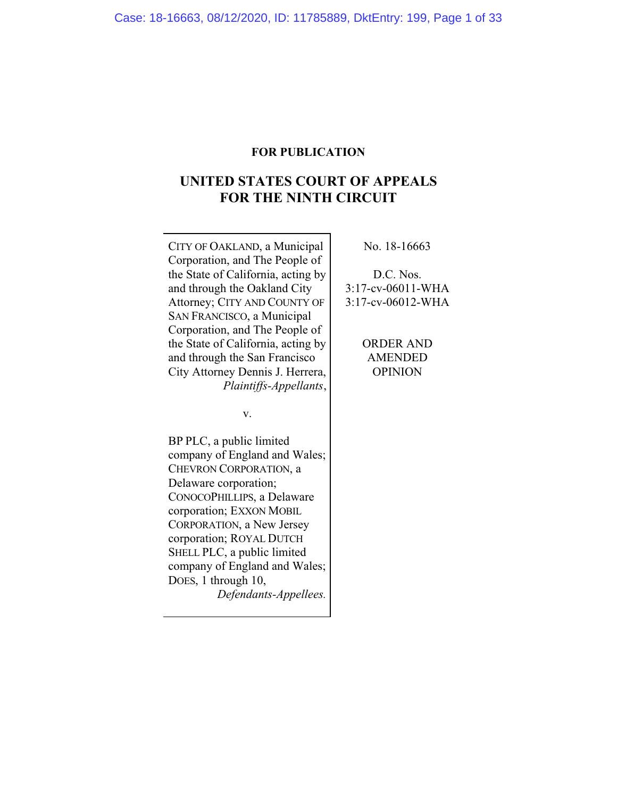# **FOR PUBLICATION**

# **UNITED STATES COURT OF APPEALS FOR THE NINTH CIRCUIT**

CITY OF OAKLAND, a Municipal Corporation, and The People of the State of California, acting by and through the Oakland City Attorney; CITY AND COUNTY OF SAN FRANCISCO, a Municipal Corporation, and The People of the State of California, acting by and through the San Francisco City Attorney Dennis J. Herrera, *Plaintiffs-Appellants*,

v.

BP PLC, a public limited company of England and Wales; CHEVRON CORPORATION, a Delaware corporation; CONOCOPHILLIPS, a Delaware corporation; EXXON MOBIL CORPORATION, a New Jersey corporation; ROYAL DUTCH SHELL PLC, a public limited company of England and Wales; DOES, 1 through 10, *Defendants-Appellees.*

No. 18-16663

D.C. Nos. 3:17-cv-06011-WHA 3:17-cv-06012-WHA

> ORDER AND AMENDED OPINION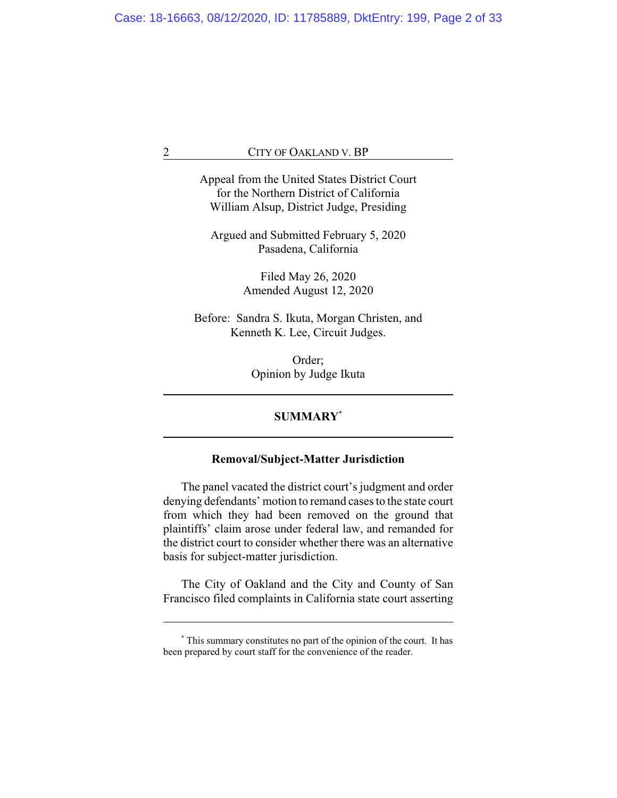Appeal from the United States District Court for the Northern District of California William Alsup, District Judge, Presiding

Argued and Submitted February 5, 2020 Pasadena, California

> Filed May 26, 2020 Amended August 12, 2020

Before: Sandra S. Ikuta, Morgan Christen, and Kenneth K. Lee, Circuit Judges.

> Order; Opinion by Judge Ikuta

# **SUMMARY\***

# **Removal/Subject-Matter Jurisdiction**

The panel vacated the district court's judgment and order denying defendants' motion to remand cases to the state court from which they had been removed on the ground that plaintiffs' claim arose under federal law, and remanded for the district court to consider whether there was an alternative basis for subject-matter jurisdiction.

The City of Oakland and the City and County of San Francisco filed complaints in California state court asserting

**<sup>\*</sup>** This summary constitutes no part of the opinion of the court. It has been prepared by court staff for the convenience of the reader.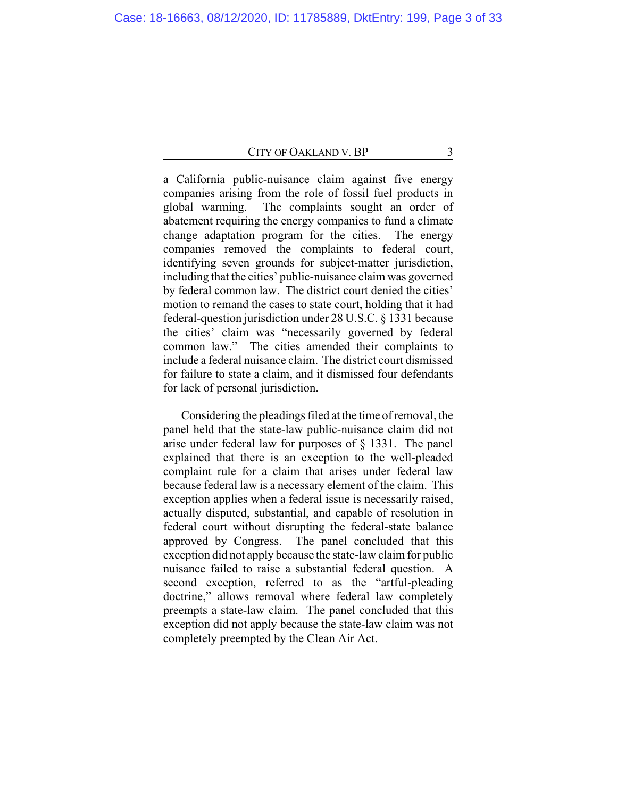a California public-nuisance claim against five energy companies arising from the role of fossil fuel products in global warming. The complaints sought an order of abatement requiring the energy companies to fund a climate change adaptation program for the cities. The energy companies removed the complaints to federal court, identifying seven grounds for subject-matter jurisdiction, including that the cities' public-nuisance claim was governed by federal common law. The district court denied the cities' motion to remand the cases to state court, holding that it had federal-question jurisdiction under 28 U.S.C. § 1331 because the cities' claim was "necessarily governed by federal common law." The cities amended their complaints to include a federal nuisance claim. The district court dismissed for failure to state a claim, and it dismissed four defendants for lack of personal jurisdiction.

Considering the pleadings filed at the time of removal, the panel held that the state-law public-nuisance claim did not arise under federal law for purposes of § 1331. The panel explained that there is an exception to the well-pleaded complaint rule for a claim that arises under federal law because federal law is a necessary element of the claim. This exception applies when a federal issue is necessarily raised, actually disputed, substantial, and capable of resolution in federal court without disrupting the federal-state balance approved by Congress. The panel concluded that this exception did not apply because the state-law claim for public nuisance failed to raise a substantial federal question. A second exception, referred to as the "artful-pleading doctrine," allows removal where federal law completely preempts a state-law claim. The panel concluded that this exception did not apply because the state-law claim was not completely preempted by the Clean Air Act.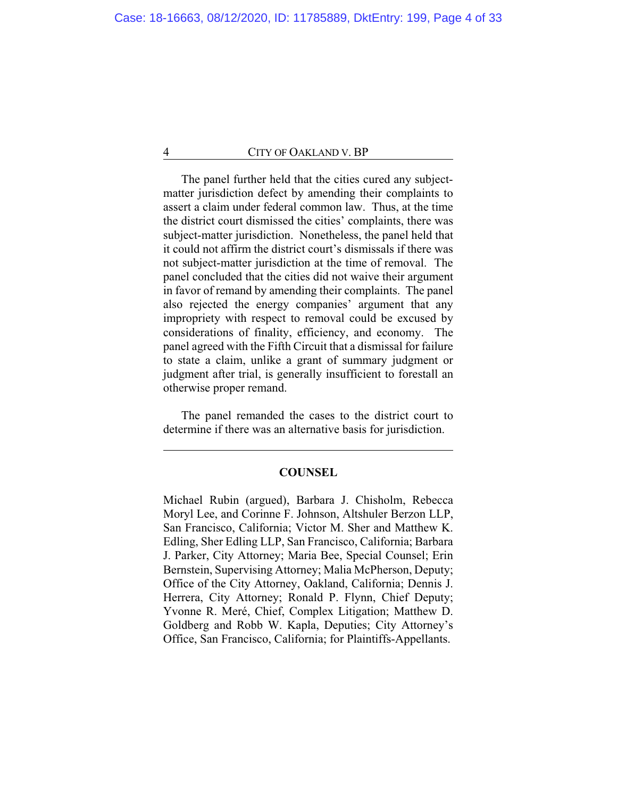The panel further held that the cities cured any subjectmatter jurisdiction defect by amending their complaints to assert a claim under federal common law. Thus, at the time the district court dismissed the cities' complaints, there was subject-matter jurisdiction. Nonetheless, the panel held that it could not affirm the district court's dismissals if there was not subject-matter jurisdiction at the time of removal. The panel concluded that the cities did not waive their argument in favor of remand by amending their complaints. The panel also rejected the energy companies' argument that any impropriety with respect to removal could be excused by considerations of finality, efficiency, and economy. The panel agreed with the Fifth Circuit that a dismissal for failure to state a claim, unlike a grant of summary judgment or judgment after trial, is generally insufficient to forestall an otherwise proper remand.

The panel remanded the cases to the district court to determine if there was an alternative basis for jurisdiction.

## **COUNSEL**

Michael Rubin (argued), Barbara J. Chisholm, Rebecca Moryl Lee, and Corinne F. Johnson, Altshuler Berzon LLP, San Francisco, California; Victor M. Sher and Matthew K. Edling, Sher Edling LLP, San Francisco, California; Barbara J. Parker, City Attorney; Maria Bee, Special Counsel; Erin Bernstein, Supervising Attorney; Malia McPherson, Deputy; Office of the City Attorney, Oakland, California; Dennis J. Herrera, City Attorney; Ronald P. Flynn, Chief Deputy; Yvonne R. Meré, Chief, Complex Litigation; Matthew D. Goldberg and Robb W. Kapla, Deputies; City Attorney's Office, San Francisco, California; for Plaintiffs-Appellants.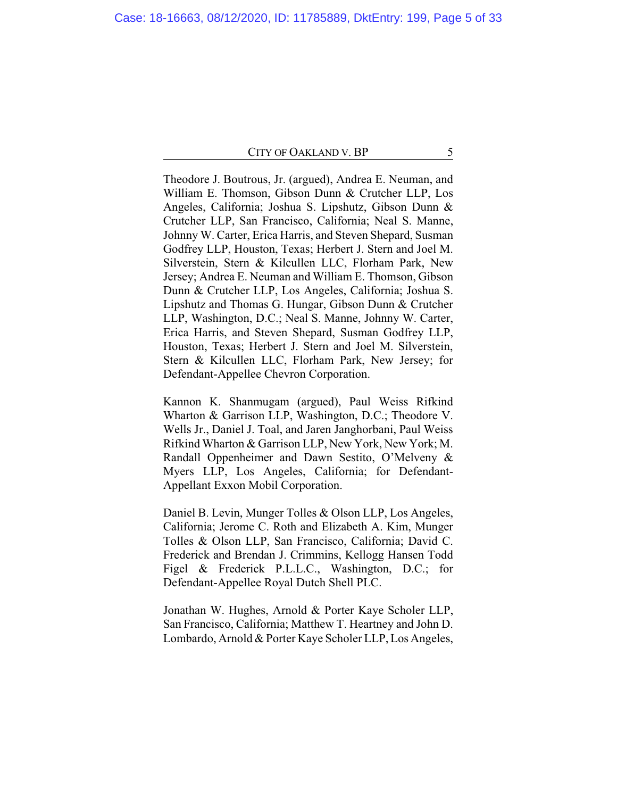Theodore J. Boutrous, Jr. (argued), Andrea E. Neuman, and William E. Thomson, Gibson Dunn & Crutcher LLP, Los Angeles, California; Joshua S. Lipshutz, Gibson Dunn & Crutcher LLP, San Francisco, California; Neal S. Manne, Johnny W. Carter, Erica Harris, and Steven Shepard, Susman Godfrey LLP, Houston, Texas; Herbert J. Stern and Joel M. Silverstein, Stern & Kilcullen LLC, Florham Park, New Jersey; Andrea E. Neuman and William E. Thomson, Gibson Dunn & Crutcher LLP, Los Angeles, California; Joshua S. Lipshutz and Thomas G. Hungar, Gibson Dunn & Crutcher LLP, Washington, D.C.; Neal S. Manne, Johnny W. Carter, Erica Harris, and Steven Shepard, Susman Godfrey LLP, Houston, Texas; Herbert J. Stern and Joel M. Silverstein, Stern & Kilcullen LLC, Florham Park, New Jersey; for Defendant-Appellee Chevron Corporation.

Kannon K. Shanmugam (argued), Paul Weiss Rifkind Wharton & Garrison LLP, Washington, D.C.; Theodore V. Wells Jr., Daniel J. Toal, and Jaren Janghorbani, Paul Weiss Rifkind Wharton & Garrison LLP, New York, New York; M. Randall Oppenheimer and Dawn Sestito, O'Melveny & Myers LLP, Los Angeles, California; for Defendant-Appellant Exxon Mobil Corporation.

Daniel B. Levin, Munger Tolles & Olson LLP, Los Angeles, California; Jerome C. Roth and Elizabeth A. Kim, Munger Tolles & Olson LLP, San Francisco, California; David C. Frederick and Brendan J. Crimmins, Kellogg Hansen Todd Figel & Frederick P.L.L.C., Washington, D.C.; for Defendant-Appellee Royal Dutch Shell PLC.

Jonathan W. Hughes, Arnold & Porter Kaye Scholer LLP, San Francisco, California; Matthew T. Heartney and John D. Lombardo, Arnold & Porter Kaye Scholer LLP, Los Angeles,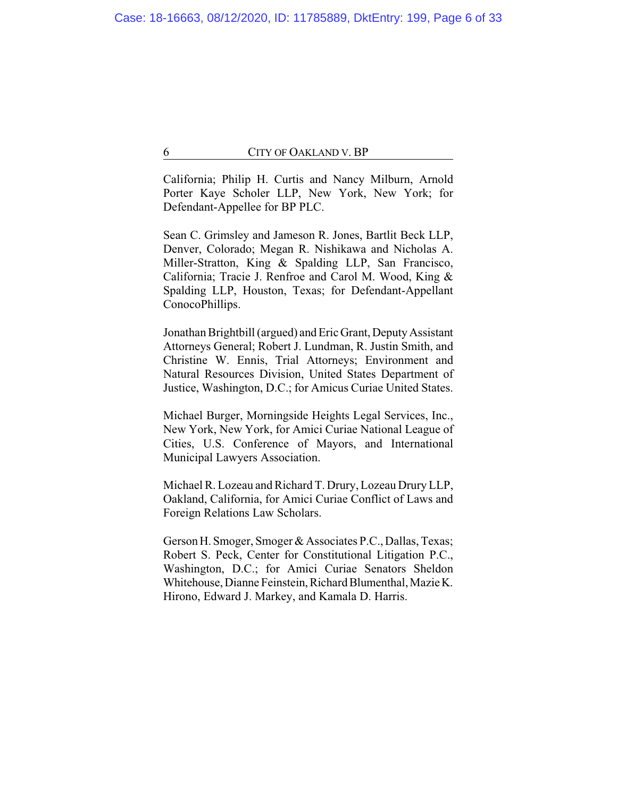California; Philip H. Curtis and Nancy Milburn, Arnold Porter Kaye Scholer LLP, New York, New York; for Defendant-Appellee for BP PLC.

Sean C. Grimsley and Jameson R. Jones, Bartlit Beck LLP, Denver, Colorado; Megan R. Nishikawa and Nicholas A. Miller-Stratton, King & Spalding LLP, San Francisco, California; Tracie J. Renfroe and Carol M. Wood, King & Spalding LLP, Houston, Texas; for Defendant-Appellant ConocoPhillips.

Jonathan Brightbill (argued) and Eric Grant, Deputy Assistant Attorneys General; Robert J. Lundman, R. Justin Smith, and Christine W. Ennis, Trial Attorneys; Environment and Natural Resources Division, United States Department of Justice, Washington, D.C.; for Amicus Curiae United States.

Michael Burger, Morningside Heights Legal Services, Inc., New York, New York, for Amici Curiae National League of Cities, U.S. Conference of Mayors, and International Municipal Lawyers Association.

Michael R. Lozeau and Richard T. Drury, Lozeau Drury LLP, Oakland, California, for Amici Curiae Conflict of Laws and Foreign Relations Law Scholars.

Gerson H. Smoger, Smoger & Associates P.C., Dallas, Texas; Robert S. Peck, Center for Constitutional Litigation P.C., Washington, D.C.; for Amici Curiae Senators Sheldon Whitehouse, Dianne Feinstein, Richard Blumenthal, Mazie K. Hirono, Edward J. Markey, and Kamala D. Harris.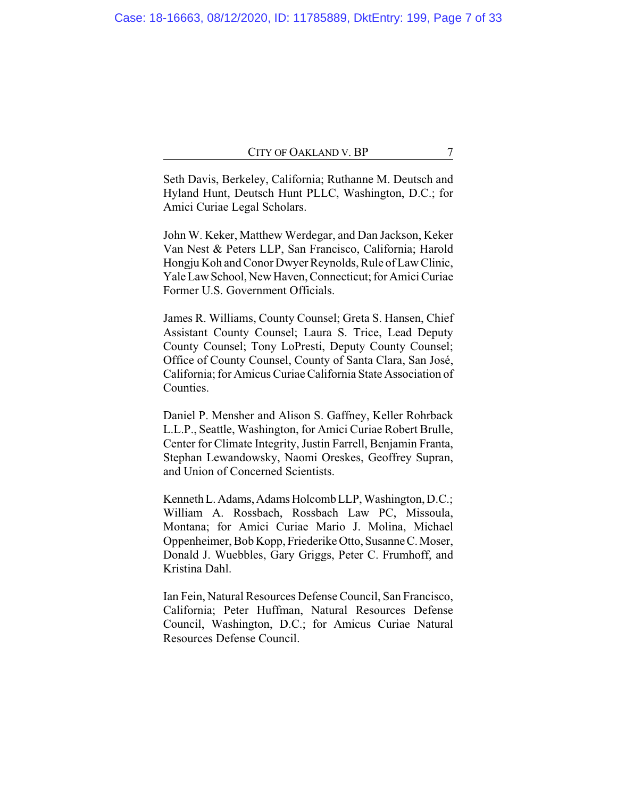Seth Davis, Berkeley, California; Ruthanne M. Deutsch and Hyland Hunt, Deutsch Hunt PLLC, Washington, D.C.; for Amici Curiae Legal Scholars.

John W. Keker, Matthew Werdegar, and Dan Jackson, Keker Van Nest & Peters LLP, San Francisco, California; Harold Hongju Koh and Conor Dwyer Reynolds, Rule of Law Clinic, Yale LawSchool,New Haven, Connecticut; for Amici Curiae Former U.S. Government Officials.

James R. Williams, County Counsel; Greta S. Hansen, Chief Assistant County Counsel; Laura S. Trice, Lead Deputy County Counsel; Tony LoPresti, Deputy County Counsel; Office of County Counsel, County of Santa Clara, San José, California; for Amicus Curiae California State Association of Counties.

Daniel P. Mensher and Alison S. Gaffney, Keller Rohrback L.L.P., Seattle, Washington, for Amici Curiae Robert Brulle, Center for Climate Integrity, Justin Farrell, Benjamin Franta, Stephan Lewandowsky, Naomi Oreskes, Geoffrey Supran, and Union of Concerned Scientists.

Kenneth L. Adams, Adams Holcomb LLP, Washington, D.C.; William A. Rossbach, Rossbach Law PC, Missoula, Montana; for Amici Curiae Mario J. Molina, Michael Oppenheimer, Bob Kopp, Friederike Otto, SusanneC.Moser, Donald J. Wuebbles, Gary Griggs, Peter C. Frumhoff, and Kristina Dahl.

Ian Fein, Natural Resources Defense Council, San Francisco, California; Peter Huffman, Natural Resources Defense Council, Washington, D.C.; for Amicus Curiae Natural Resources Defense Council.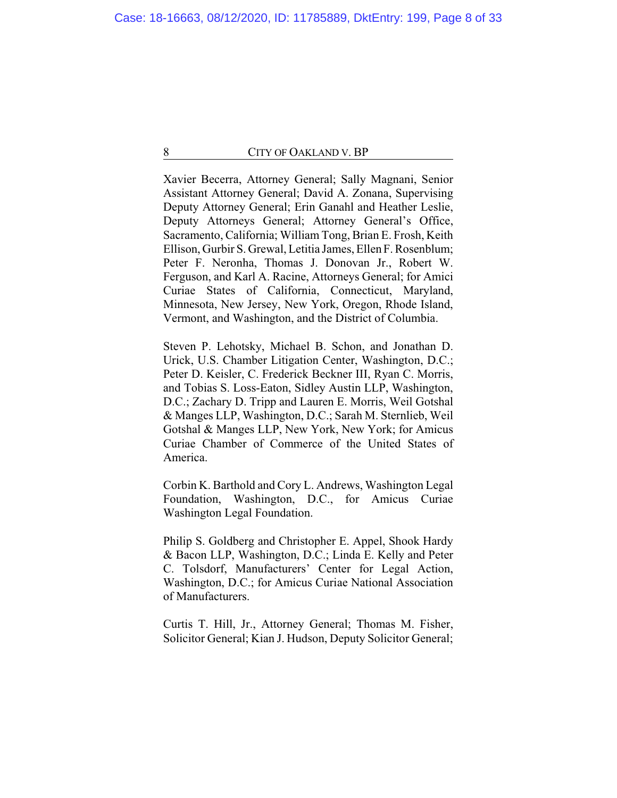Xavier Becerra, Attorney General; Sally Magnani, Senior Assistant Attorney General; David A. Zonana, Supervising Deputy Attorney General; Erin Ganahl and Heather Leslie, Deputy Attorneys General; Attorney General's Office, Sacramento, California; William Tong, Brian E. Frosh, Keith Ellison, Gurbir S. Grewal, Letitia James, EllenF. Rosenblum; Peter F. Neronha, Thomas J. Donovan Jr., Robert W. Ferguson, and Karl A. Racine, Attorneys General; for Amici Curiae States of California, Connecticut, Maryland, Minnesota, New Jersey, New York, Oregon, Rhode Island, Vermont, and Washington, and the District of Columbia.

Steven P. Lehotsky, Michael B. Schon, and Jonathan D. Urick, U.S. Chamber Litigation Center, Washington, D.C.; Peter D. Keisler, C. Frederick Beckner III, Ryan C. Morris, and Tobias S. Loss-Eaton, Sidley Austin LLP, Washington, D.C.; Zachary D. Tripp and Lauren E. Morris, Weil Gotshal & Manges LLP, Washington, D.C.; Sarah M. Sternlieb, Weil Gotshal & Manges LLP, New York, New York; for Amicus Curiae Chamber of Commerce of the United States of America.

Corbin K. Barthold and Cory L. Andrews, Washington Legal Foundation, Washington, D.C., for Amicus Curiae Washington Legal Foundation.

Philip S. Goldberg and Christopher E. Appel, Shook Hardy & Bacon LLP, Washington, D.C.; Linda E. Kelly and Peter C. Tolsdorf, Manufacturers' Center for Legal Action, Washington, D.C.; for Amicus Curiae National Association of Manufacturers.

Curtis T. Hill, Jr., Attorney General; Thomas M. Fisher, Solicitor General; Kian J. Hudson, Deputy Solicitor General;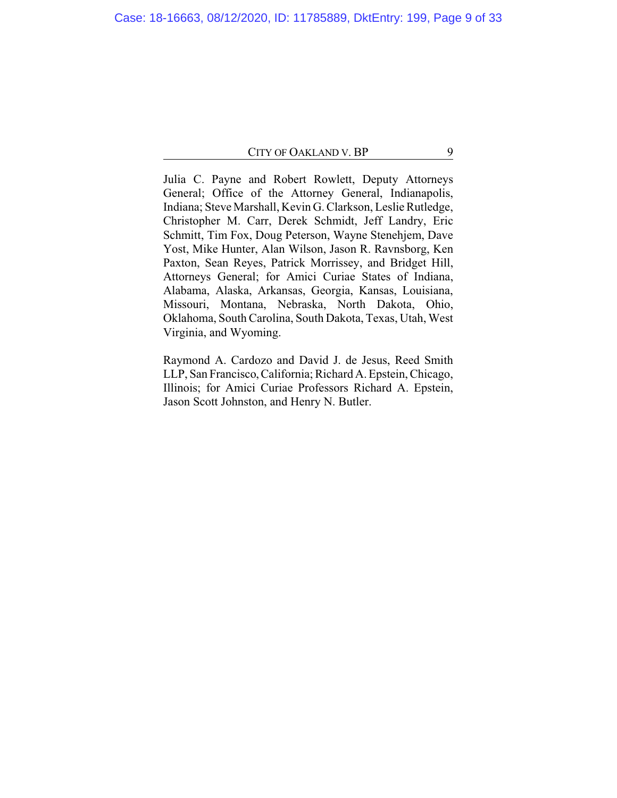Julia C. Payne and Robert Rowlett, Deputy Attorneys General; Office of the Attorney General, Indianapolis, Indiana; Steve Marshall, Kevin G. Clarkson, Leslie Rutledge, Christopher M. Carr, Derek Schmidt, Jeff Landry, Eric Schmitt, Tim Fox, Doug Peterson, Wayne Stenehjem, Dave Yost, Mike Hunter, Alan Wilson, Jason R. Ravnsborg, Ken Paxton, Sean Reyes, Patrick Morrissey, and Bridget Hill, Attorneys General; for Amici Curiae States of Indiana, Alabama, Alaska, Arkansas, Georgia, Kansas, Louisiana, Missouri, Montana, Nebraska, North Dakota, Ohio, Oklahoma, South Carolina, South Dakota, Texas, Utah, West Virginia, and Wyoming.

Raymond A. Cardozo and David J. de Jesus, Reed Smith LLP, San Francisco,California; Richard A. Epstein, Chicago, Illinois; for Amici Curiae Professors Richard A. Epstein, Jason Scott Johnston, and Henry N. Butler.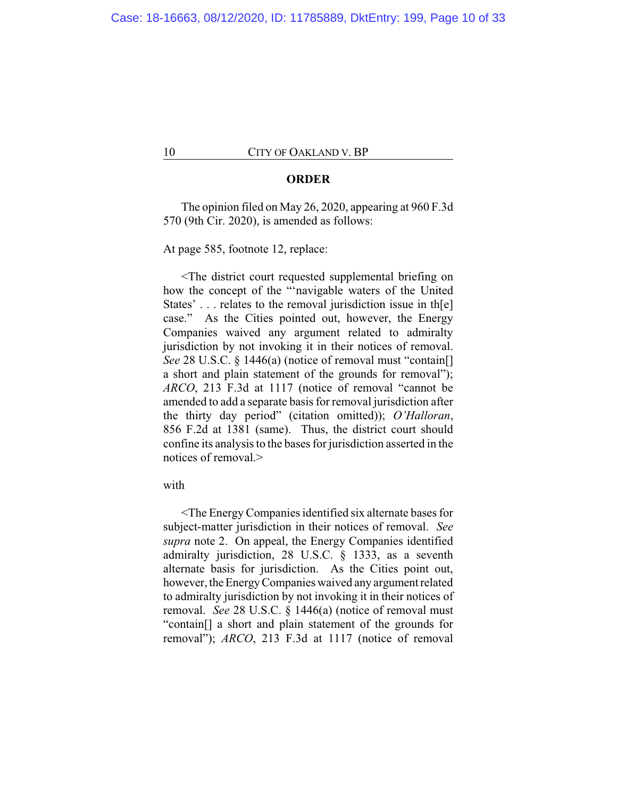## **ORDER**

The opinion filed on May 26, 2020, appearing at 960 F.3d 570 (9th Cir. 2020), is amended as follows:

At page 585, footnote 12, replace:

<The district court requested supplemental briefing on how the concept of the "'navigable waters of the United States'... relates to the removal jurisdiction issue in th[e] case." As the Cities pointed out, however, the Energy Companies waived any argument related to admiralty jurisdiction by not invoking it in their notices of removal. *See* 28 U.S.C. § 1446(a) (notice of removal must "contain[] a short and plain statement of the grounds for removal"); *ARCO*, 213 F.3d at 1117 (notice of removal "cannot be amended to add a separate basis for removal jurisdiction after the thirty day period" (citation omitted)); *O'Halloran*, 856 F.2d at 1381 (same). Thus, the district court should confine its analysis to the bases for jurisdiction asserted in the notices of removal.>

# with

<The Energy Companies identified six alternate bases for subject-matter jurisdiction in their notices of removal. *See supra* note 2. On appeal, the Energy Companies identified admiralty jurisdiction, 28 U.S.C. § 1333, as a seventh alternate basis for jurisdiction. As the Cities point out, however, the Energy Companies waived any argument related to admiralty jurisdiction by not invoking it in their notices of removal. *See* 28 U.S.C. § 1446(a) (notice of removal must "contain[] a short and plain statement of the grounds for removal"); *ARCO*, 213 F.3d at 1117 (notice of removal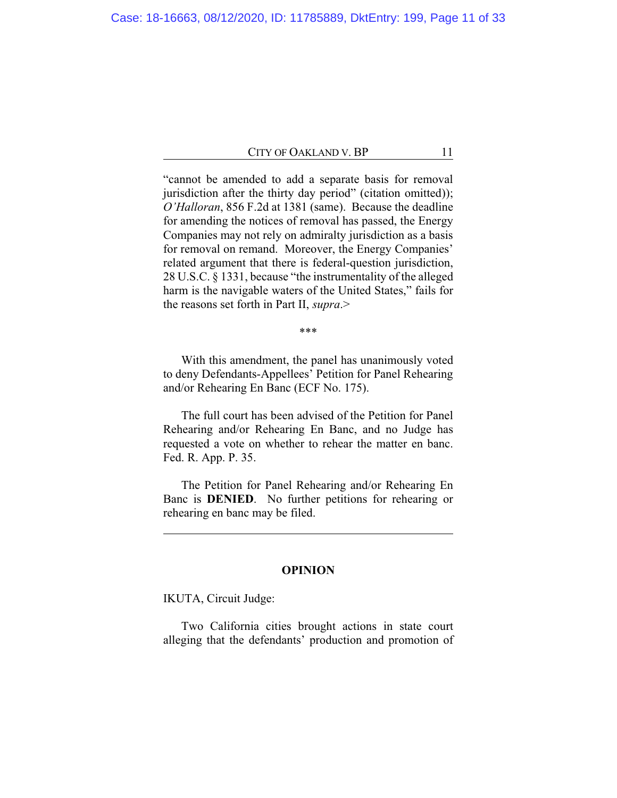"cannot be amended to add a separate basis for removal jurisdiction after the thirty day period" (citation omitted)); *O'Halloran*, 856 F.2d at 1381 (same). Because the deadline for amending the notices of removal has passed, the Energy Companies may not rely on admiralty jurisdiction as a basis for removal on remand. Moreover, the Energy Companies' related argument that there is federal-question jurisdiction, 28 U.S.C. § 1331, because "the instrumentality of the alleged harm is the navigable waters of the United States," fails for the reasons set forth in Part II, *supra*.>

\*\*\*

With this amendment, the panel has unanimously voted to deny Defendants-Appellees' Petition for Panel Rehearing and/or Rehearing En Banc (ECF No. 175).

The full court has been advised of the Petition for Panel Rehearing and/or Rehearing En Banc, and no Judge has requested a vote on whether to rehear the matter en banc. Fed. R. App. P. 35.

The Petition for Panel Rehearing and/or Rehearing En Banc is **DENIED**. No further petitions for rehearing or rehearing en banc may be filed.

# **OPINION**

IKUTA, Circuit Judge:

Two California cities brought actions in state court alleging that the defendants' production and promotion of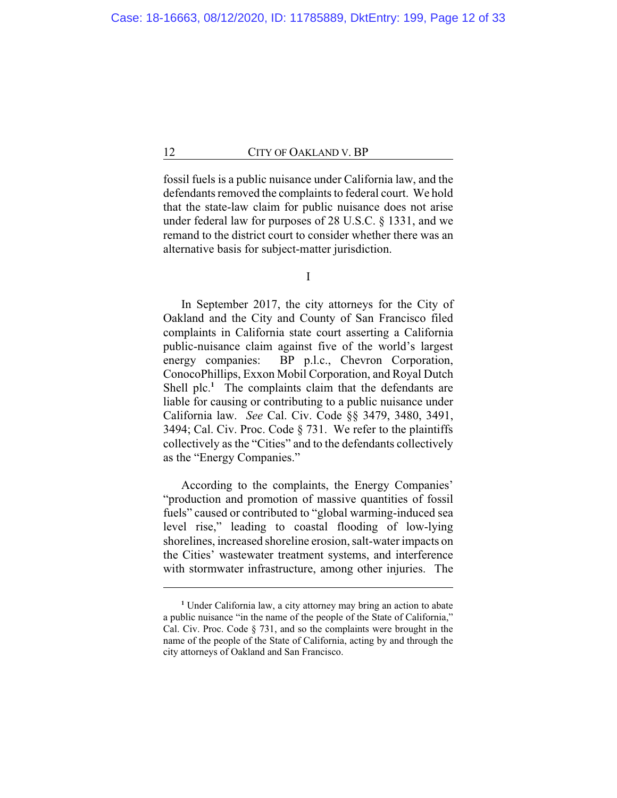fossil fuels is a public nuisance under California law, and the defendants removed the complaints to federal court. We hold that the state-law claim for public nuisance does not arise under federal law for purposes of 28 U.S.C. § 1331, and we remand to the district court to consider whether there was an alternative basis for subject-matter jurisdiction.

I

In September 2017, the city attorneys for the City of Oakland and the City and County of San Francisco filed complaints in California state court asserting a California public-nuisance claim against five of the world's largest energy companies: BP p.l.c., Chevron Corporation, ConocoPhillips, Exxon Mobil Corporation, and Royal Dutch Shell plc.<sup>1</sup> The complaints claim that the defendants are liable for causing or contributing to a public nuisance under California law. *See* Cal. Civ. Code §§ 3479, 3480, 3491, 3494; Cal. Civ. Proc. Code § 731. We refer to the plaintiffs collectively as the "Cities" and to the defendants collectively as the "Energy Companies."

According to the complaints, the Energy Companies' "production and promotion of massive quantities of fossil fuels" caused or contributed to "global warming-induced sea level rise," leading to coastal flooding of low-lying shorelines, increased shoreline erosion, salt-water impacts on the Cities' wastewater treatment systems, and interference with stormwater infrastructure, among other injuries. The

**<sup>1</sup>** Under California law, a city attorney may bring an action to abate a public nuisance "in the name of the people of the State of California," Cal. Civ. Proc. Code § 731, and so the complaints were brought in the name of the people of the State of California, acting by and through the city attorneys of Oakland and San Francisco.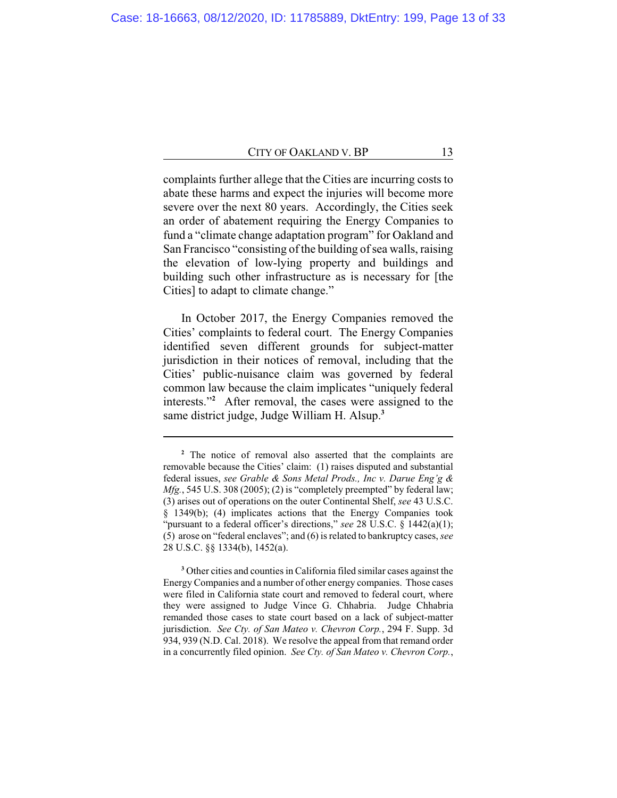complaints further allege that the Cities are incurring costs to abate these harms and expect the injuries will become more severe over the next 80 years. Accordingly, the Cities seek an order of abatement requiring the Energy Companies to fund a "climate change adaptation program" for Oakland and San Francisco "consisting of the building of sea walls, raising the elevation of low-lying property and buildings and building such other infrastructure as is necessary for [the Cities] to adapt to climate change."

In October 2017, the Energy Companies removed the Cities' complaints to federal court. The Energy Companies identified seven different grounds for subject-matter jurisdiction in their notices of removal, including that the Cities' public-nuisance claim was governed by federal common law because the claim implicates "uniquely federal interests."**<sup>2</sup>** After removal, the cases were assigned to the same district judge, Judge William H. Alsup.**<sup>3</sup>**

**<sup>3</sup>** Other cities and counties in California filed similar cases against the Energy Companies and a number of other energy companies. Those cases were filed in California state court and removed to federal court, where they were assigned to Judge Vince G. Chhabria. Judge Chhabria remanded those cases to state court based on a lack of subject-matter jurisdiction. *See Cty. of San Mateo v. Chevron Corp.*, 294 F. Supp. 3d 934, 939 (N.D. Cal. 2018). We resolve the appeal from that remand order in a concurrently filed opinion. *See Cty. of San Mateo v. Chevron Corp.*,

**<sup>2</sup>** The notice of removal also asserted that the complaints are removable because the Cities' claim: (1) raises disputed and substantial federal issues, *see Grable & Sons Metal Prods., Inc v. Darue Eng'g & Mfg.*, 545 U.S. 308 (2005); (2) is "completely preempted" by federal law; (3) arises out of operations on the outer Continental Shelf, *see* 43 U.S.C. § 1349(b); (4) implicates actions that the Energy Companies took "pursuant to a federal officer's directions," see 28 U.S.C. § 1442(a)(1); (5) arose on "federal enclaves"; and (6) is related to bankruptcy cases, *see* 28 U.S.C. §§ 1334(b), 1452(a).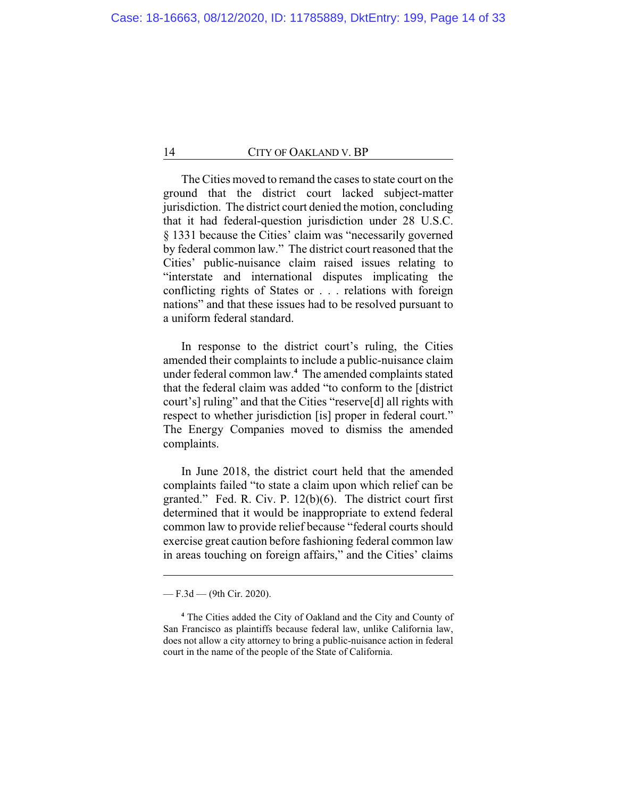The Cities moved to remand the cases to state court on the ground that the district court lacked subject-matter jurisdiction. The district court denied the motion, concluding that it had federal-question jurisdiction under 28 U.S.C. § 1331 because the Cities' claim was "necessarily governed by federal common law." The district court reasoned that the Cities' public-nuisance claim raised issues relating to "interstate and international disputes implicating the conflicting rights of States or . . . relations with foreign nations" and that these issues had to be resolved pursuant to a uniform federal standard.

In response to the district court's ruling, the Cities amended their complaints to include a public-nuisance claim under federal common law.**<sup>4</sup>** The amended complaints stated that the federal claim was added "to conform to the [district court's] ruling" and that the Cities "reserve[d] all rights with respect to whether jurisdiction [is] proper in federal court." The Energy Companies moved to dismiss the amended complaints.

In June 2018, the district court held that the amended complaints failed "to state a claim upon which relief can be granted." Fed. R. Civ. P. 12(b)(6). The district court first determined that it would be inappropriate to extend federal common law to provide relief because "federal courts should exercise great caution before fashioning federal common law in areas touching on foreign affairs," and the Cities' claims

<sup>—</sup> F.3d — (9th Cir. 2020).

**<sup>4</sup>** The Cities added the City of Oakland and the City and County of San Francisco as plaintiffs because federal law, unlike California law, does not allow a city attorney to bring a public-nuisance action in federal court in the name of the people of the State of California.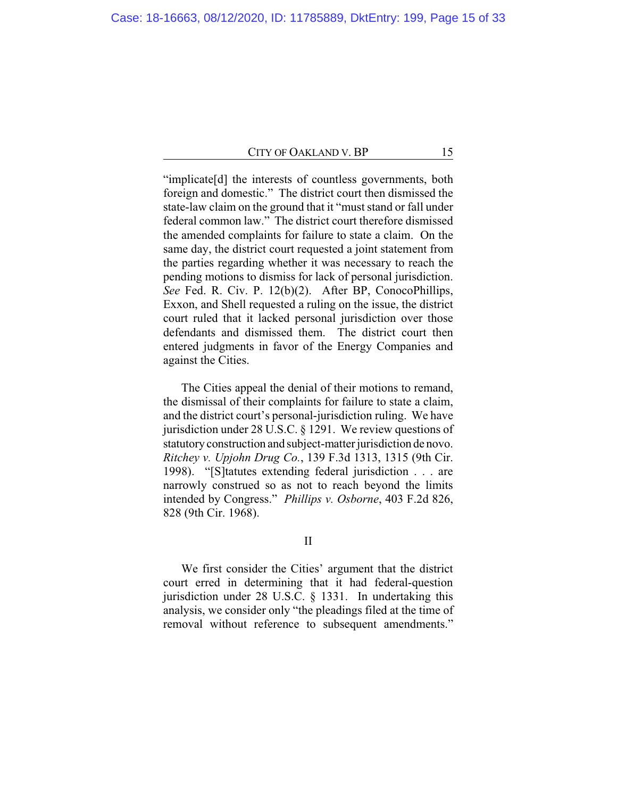"implicate[d] the interests of countless governments, both foreign and domestic." The district court then dismissed the state-law claim on the ground that it "must stand or fall under federal common law." The district court therefore dismissed the amended complaints for failure to state a claim. On the same day, the district court requested a joint statement from the parties regarding whether it was necessary to reach the pending motions to dismiss for lack of personal jurisdiction. *See* Fed. R. Civ. P. 12(b)(2). After BP, ConocoPhillips, Exxon, and Shell requested a ruling on the issue, the district court ruled that it lacked personal jurisdiction over those defendants and dismissed them. The district court then entered judgments in favor of the Energy Companies and against the Cities.

The Cities appeal the denial of their motions to remand, the dismissal of their complaints for failure to state a claim, and the district court's personal-jurisdiction ruling. We have jurisdiction under 28 U.S.C. § 1291. We review questions of statutory construction and subject-matter jurisdiction de novo. *Ritchey v. Upjohn Drug Co.*, 139 F.3d 1313, 1315 (9th Cir. 1998). "[S]tatutes extending federal jurisdiction . . . are narrowly construed so as not to reach beyond the limits intended by Congress." *Phillips v. Osborne*, 403 F.2d 826, 828 (9th Cir. 1968).

## II

We first consider the Cities' argument that the district court erred in determining that it had federal-question jurisdiction under 28 U.S.C. § 1331. In undertaking this analysis, we consider only "the pleadings filed at the time of removal without reference to subsequent amendments."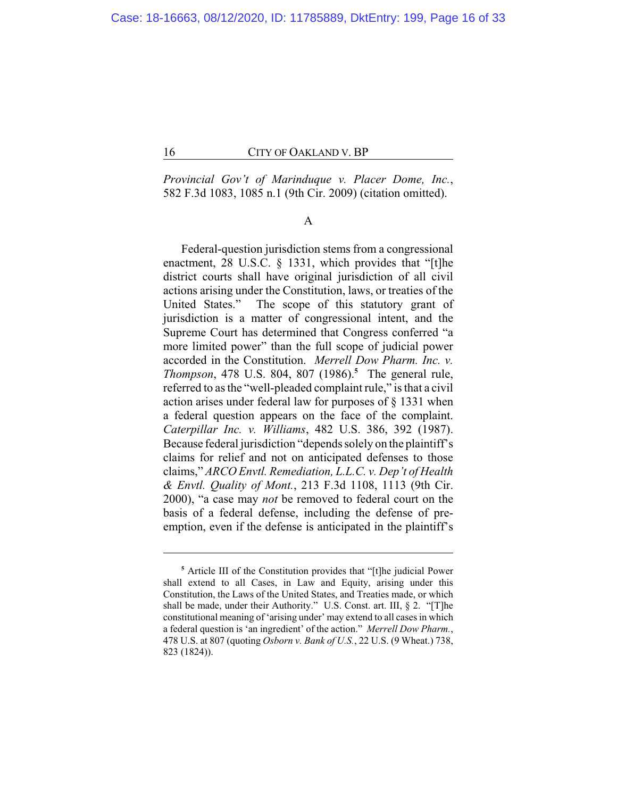*Provincial Gov't of Marinduque v. Placer Dome, Inc.*, 582 F.3d 1083, 1085 n.1 (9th Cir. 2009) (citation omitted).

## A

Federal-question jurisdiction stems from a congressional enactment, 28 U.S.C. § 1331, which provides that "[t]he district courts shall have original jurisdiction of all civil actions arising under the Constitution, laws, or treaties of the United States." The scope of this statutory grant of jurisdiction is a matter of congressional intent, and the Supreme Court has determined that Congress conferred "a more limited power" than the full scope of judicial power accorded in the Constitution. *Merrell Dow Pharm. Inc. v. Thompson*, 478 U.S. 804, 807 (1986).**<sup>5</sup>** The general rule, referred to as the "well-pleaded complaint rule," is that a civil action arises under federal law for purposes of § 1331 when a federal question appears on the face of the complaint. *Caterpillar Inc. v. Williams*, 482 U.S. 386, 392 (1987). Because federal jurisdiction "depends solely on the plaintiff's claims for relief and not on anticipated defenses to those claims," *ARCO Envtl. Remediation, L.L.C. v. Dep't of Health & Envtl. Quality of Mont.*, 213 F.3d 1108, 1113 (9th Cir. 2000), "a case may *not* be removed to federal court on the basis of a federal defense, including the defense of preemption, even if the defense is anticipated in the plaintiff's

**<sup>5</sup>** Article III of the Constitution provides that "[t]he judicial Power shall extend to all Cases, in Law and Equity, arising under this Constitution, the Laws of the United States, and Treaties made, or which shall be made, under their Authority." U.S. Const. art. III, § 2. "[T]he constitutional meaning of 'arising under' may extend to all cases in which a federal question is 'an ingredient' of the action." *Merrell Dow Pharm.*, 478 U.S. at 807 (quoting *Osborn v. Bank of U.S.*, 22 U.S. (9 Wheat.) 738, 823 (1824)).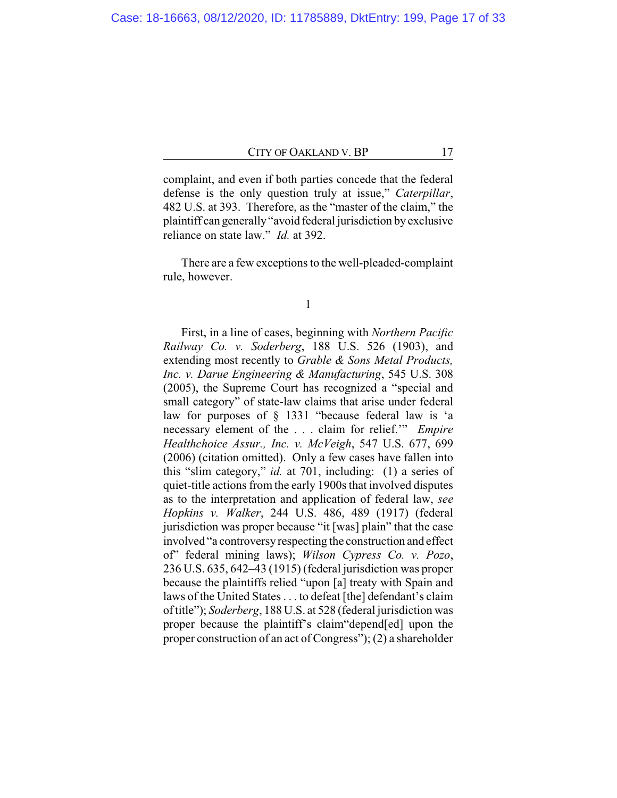complaint, and even if both parties concede that the federal defense is the only question truly at issue," *Caterpillar*, 482 U.S. at 393. Therefore, as the "master of the claim," the plaintiff can generally "avoid federal jurisdiction by exclusive reliance on state law." *Id.* at 392.

There are a few exceptions to the well-pleaded-complaint rule, however.

1

First, in a line of cases, beginning with *Northern Pacific Railway Co. v. Soderberg*, 188 U.S. 526 (1903), and extending most recently to *Grable & Sons Metal Products, Inc. v. Darue Engineering & Manufacturing*, 545 U.S. 308 (2005), the Supreme Court has recognized a "special and small category" of state-law claims that arise under federal law for purposes of § 1331 "because federal law is 'a necessary element of the . . . claim for relief.'" *Empire Healthchoice Assur., Inc. v. McVeigh*, 547 U.S. 677, 699 (2006) (citation omitted). Only a few cases have fallen into this "slim category," *id.* at 701, including: (1) a series of quiet-title actions from the early 1900s that involved disputes as to the interpretation and application of federal law, *see Hopkins v. Walker*, 244 U.S. 486, 489 (1917) (federal jurisdiction was proper because "it [was] plain" that the case involved "a controversy respecting the construction and effect of" federal mining laws); *Wilson Cypress Co. v. Pozo*, 236 U.S. 635, 642–43 (1915) (federal jurisdiction was proper because the plaintiffs relied "upon [a] treaty with Spain and laws of the United States . . . to defeat [the] defendant's claim of title"); *Soderberg*, 188 U.S. at 528 (federal jurisdiction was proper because the plaintiff's claim"depend[ed] upon the proper construction of an act of Congress"); (2) a shareholder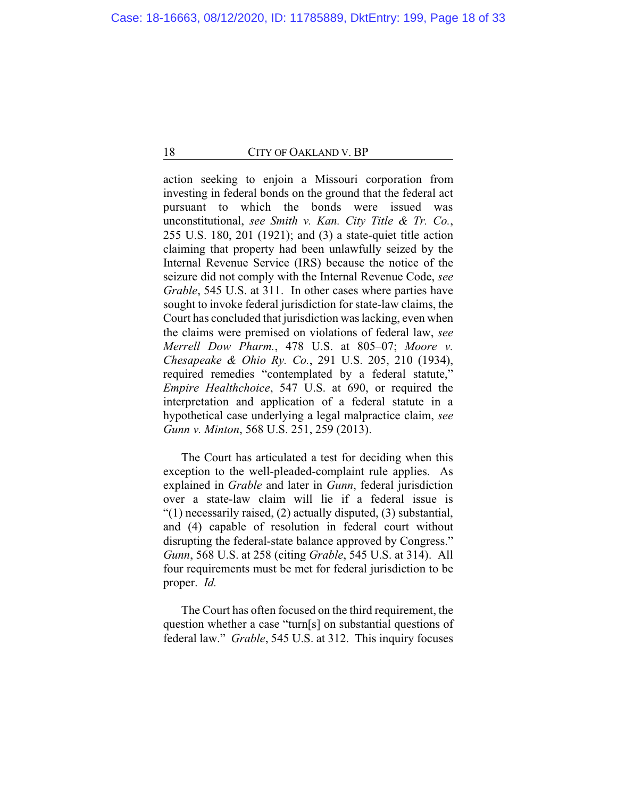action seeking to enjoin a Missouri corporation from investing in federal bonds on the ground that the federal act pursuant to which the bonds were issued was unconstitutional, *see Smith v. Kan. City Title & Tr. Co.*, 255 U.S. 180, 201 (1921); and (3) a state-quiet title action claiming that property had been unlawfully seized by the Internal Revenue Service (IRS) because the notice of the seizure did not comply with the Internal Revenue Code, *see Grable*, 545 U.S. at 311. In other cases where parties have sought to invoke federal jurisdiction for state-law claims, the Court has concluded that jurisdiction was lacking, even when the claims were premised on violations of federal law, *see Merrell Dow Pharm.*, 478 U.S. at 805–07; *Moore v. Chesapeake & Ohio Ry. Co.*, 291 U.S. 205, 210 (1934), required remedies "contemplated by a federal statute," *Empire Healthchoice*, 547 U.S. at 690, or required the interpretation and application of a federal statute in a hypothetical case underlying a legal malpractice claim, *see Gunn v. Minton*, 568 U.S. 251, 259 (2013).

The Court has articulated a test for deciding when this exception to the well-pleaded-complaint rule applies. As explained in *Grable* and later in *Gunn*, federal jurisdiction over a state-law claim will lie if a federal issue is "(1) necessarily raised, (2) actually disputed, (3) substantial, and (4) capable of resolution in federal court without disrupting the federal-state balance approved by Congress." *Gunn*, 568 U.S. at 258 (citing *Grable*, 545 U.S. at 314). All four requirements must be met for federal jurisdiction to be proper. *Id.*

The Court has often focused on the third requirement, the question whether a case "turn[s] on substantial questions of federal law." *Grable*, 545 U.S. at 312. This inquiry focuses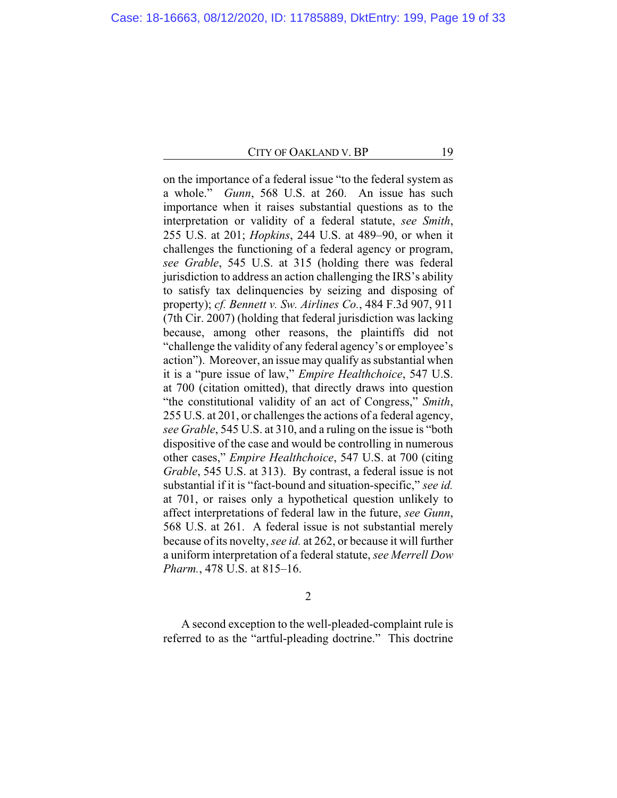on the importance of a federal issue "to the federal system as a whole." *Gunn*, 568 U.S. at 260. An issue has such importance when it raises substantial questions as to the interpretation or validity of a federal statute, *see Smith*, 255 U.S. at 201; *Hopkins*, 244 U.S. at 489–90, or when it challenges the functioning of a federal agency or program, *see Grable*, 545 U.S. at 315 (holding there was federal jurisdiction to address an action challenging the IRS's ability to satisfy tax delinquencies by seizing and disposing of property); *cf. Bennett v. Sw. Airlines Co.*, 484 F.3d 907, 911 (7th Cir. 2007) (holding that federal jurisdiction was lacking because, among other reasons, the plaintiffs did not "challenge the validity of any federal agency's or employee's action"). Moreover, an issue may qualify as substantial when it is a "pure issue of law," *Empire Healthchoice*, 547 U.S. at 700 (citation omitted), that directly draws into question "the constitutional validity of an act of Congress," *Smith*, 255 U.S. at 201, or challenges the actions of a federal agency, *see Grable*, 545 U.S. at 310, and a ruling on the issue is "both dispositive of the case and would be controlling in numerous other cases," *Empire Healthchoice*, 547 U.S. at 700 (citing *Grable*, 545 U.S. at 313). By contrast, a federal issue is not substantial if it is "fact-bound and situation-specific," *see id.* at 701, or raises only a hypothetical question unlikely to affect interpretations of federal law in the future, *see Gunn*, 568 U.S. at 261. A federal issue is not substantial merely because of its novelty, *see id.* at 262, or because it will further a uniform interpretation of a federal statute, *see Merrell Dow Pharm.*, 478 U.S. at 815–16.

2

A second exception to the well-pleaded-complaint rule is referred to as the "artful-pleading doctrine." This doctrine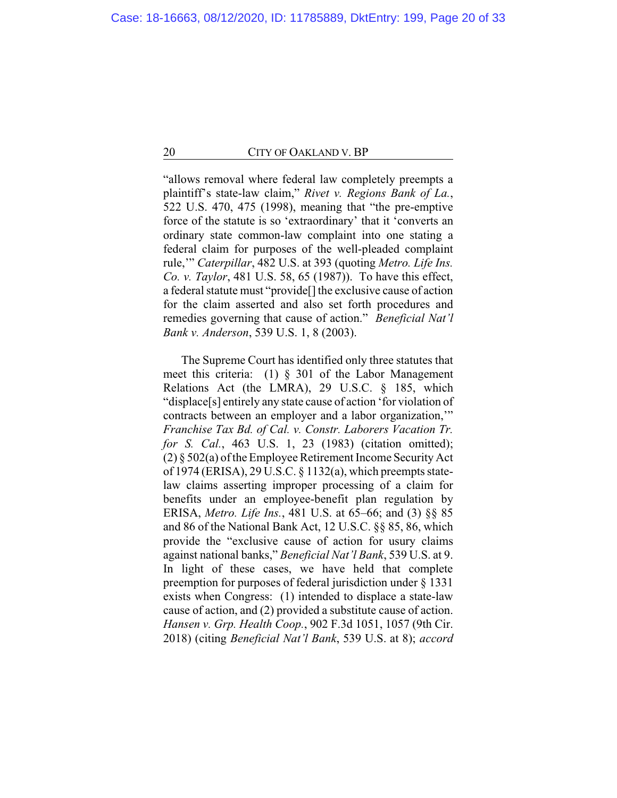"allows removal where federal law completely preempts a plaintiff's state-law claim," *Rivet v. Regions Bank of La.*, 522 U.S. 470, 475 (1998), meaning that "the pre-emptive force of the statute is so 'extraordinary' that it 'converts an ordinary state common-law complaint into one stating a federal claim for purposes of the well-pleaded complaint rule,'" *Caterpillar*, 482 U.S. at 393 (quoting *Metro. Life Ins. Co. v. Taylor*, 481 U.S. 58, 65 (1987)). To have this effect, a federal statute must "provide[] the exclusive cause of action for the claim asserted and also set forth procedures and remedies governing that cause of action." *Beneficial Nat'l Bank v. Anderson*, 539 U.S. 1, 8 (2003).

The Supreme Court has identified only three statutes that meet this criteria: (1) § 301 of the Labor Management Relations Act (the LMRA), 29 U.S.C. § 185, which "displace[s] entirely any state cause of action 'for violation of contracts between an employer and a labor organization,'" *Franchise Tax Bd. of Cal. v. Constr. Laborers Vacation Tr. for S. Cal.*, 463 U.S. 1, 23 (1983) (citation omitted); (2) § 502(a) of the Employee Retirement Income Security Act of 1974 (ERISA), 29 U.S.C. § 1132(a), which preempts statelaw claims asserting improper processing of a claim for benefits under an employee-benefit plan regulation by ERISA, *Metro. Life Ins.*, 481 U.S. at 65–66; and (3) §§ 85 and 86 of the National Bank Act, 12 U.S.C. §§ 85, 86, which provide the "exclusive cause of action for usury claims against national banks," *Beneficial Nat'l Bank*, 539 U.S. at 9. In light of these cases, we have held that complete preemption for purposes of federal jurisdiction under § 1331 exists when Congress: (1) intended to displace a state-law cause of action, and (2) provided a substitute cause of action. *Hansen v. Grp. Health Coop.*, 902 F.3d 1051, 1057 (9th Cir. 2018) (citing *Beneficial Nat'l Bank*, 539 U.S. at 8); *accord*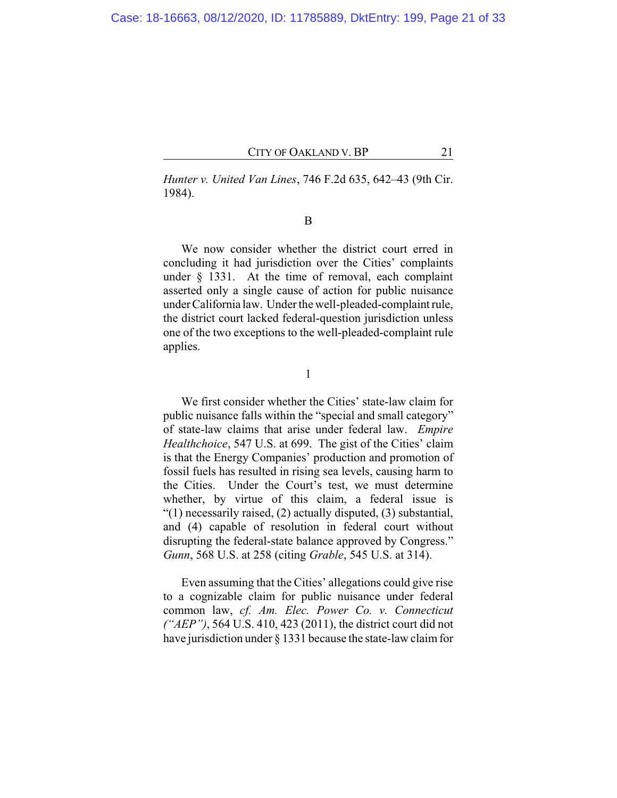*Hunter v. United Van Lines*, 746 F.2d 635, 642–43 (9th Cir. 1984).

B

We now consider whether the district court erred in concluding it had jurisdiction over the Cities' complaints under § 1331. At the time of removal, each complaint asserted only a single cause of action for public nuisance under California law. Under the well-pleaded-complaint rule, the district court lacked federal-question jurisdiction unless one of the two exceptions to the well-pleaded-complaint rule applies.

1

We first consider whether the Cities' state-law claim for public nuisance falls within the "special and small category" of state-law claims that arise under federal law. *Empire Healthchoice*, 547 U.S. at 699. The gist of the Cities' claim is that the Energy Companies' production and promotion of fossil fuels has resulted in rising sea levels, causing harm to the Cities. Under the Court's test, we must determine whether, by virtue of this claim, a federal issue is "(1) necessarily raised, (2) actually disputed, (3) substantial, and (4) capable of resolution in federal court without disrupting the federal-state balance approved by Congress." *Gunn*, 568 U.S. at 258 (citing *Grable*, 545 U.S. at 314).

Even assuming that the Cities' allegations could give rise to a cognizable claim for public nuisance under federal common law, *cf. Am. Elec. Power Co. v. Connecticut ("AEP")*, 564 U.S. 410, 423 (2011), the district court did not have jurisdiction under  $\S 1331$  because the state-law claim for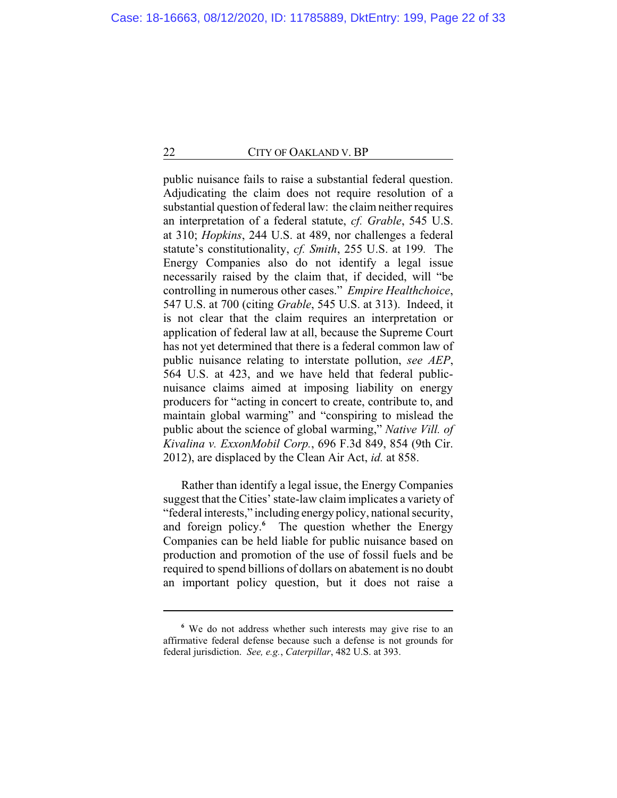public nuisance fails to raise a substantial federal question. Adjudicating the claim does not require resolution of a substantial question of federal law: the claim neither requires an interpretation of a federal statute, *cf. Grable*, 545 U.S. at 310; *Hopkins*, 244 U.S. at 489, nor challenges a federal statute's constitutionality, *cf. Smith*, 255 U.S. at 199*.* The Energy Companies also do not identify a legal issue necessarily raised by the claim that, if decided, will "be controlling in numerous other cases." *Empire Healthchoice*, 547 U.S. at 700 (citing *Grable*, 545 U.S. at 313). Indeed, it is not clear that the claim requires an interpretation or application of federal law at all, because the Supreme Court has not yet determined that there is a federal common law of public nuisance relating to interstate pollution, *see AEP*, 564 U.S. at 423, and we have held that federal publicnuisance claims aimed at imposing liability on energy producers for "acting in concert to create, contribute to, and maintain global warming" and "conspiring to mislead the public about the science of global warming," *Native Vill. of Kivalina v. ExxonMobil Corp.*, 696 F.3d 849, 854 (9th Cir. 2012), are displaced by the Clean Air Act, *id.* at 858.

Rather than identify a legal issue, the Energy Companies suggest that the Cities' state-law claim implicates a variety of "federal interests," including energy policy, national security, and foreign policy.**<sup>6</sup>** The question whether the Energy Companies can be held liable for public nuisance based on production and promotion of the use of fossil fuels and be required to spend billions of dollars on abatement is no doubt an important policy question, but it does not raise a

**<sup>6</sup>** We do not address whether such interests may give rise to an affirmative federal defense because such a defense is not grounds for federal jurisdiction. *See, e.g.*, *Caterpillar*, 482 U.S. at 393.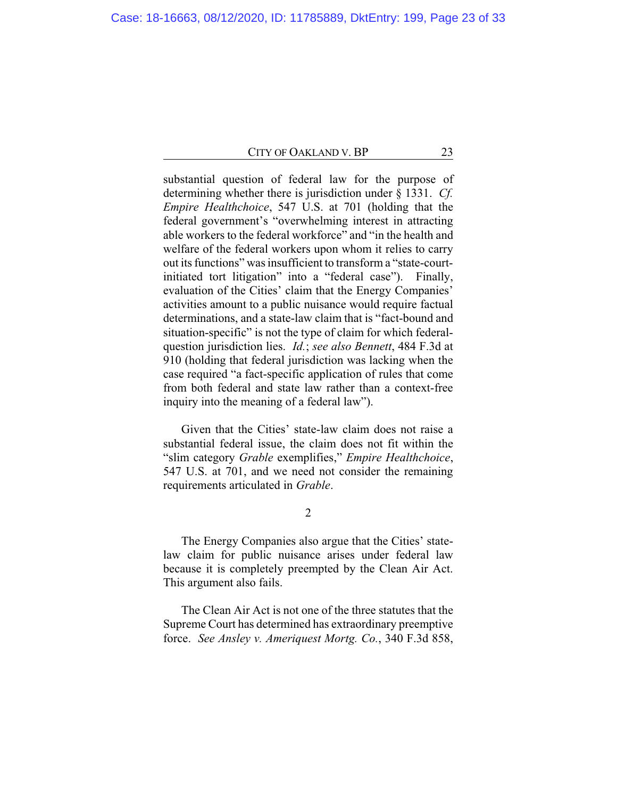substantial question of federal law for the purpose of determining whether there is jurisdiction under § 1331. *Cf. Empire Healthchoice*, 547 U.S. at 701 (holding that the federal government's "overwhelming interest in attracting able workers to the federal workforce" and "in the health and welfare of the federal workers upon whom it relies to carry out its functions" was insufficient to transform a "state-courtinitiated tort litigation" into a "federal case"). Finally, evaluation of the Cities' claim that the Energy Companies' activities amount to a public nuisance would require factual determinations, and a state-law claim that is "fact-bound and situation-specific" is not the type of claim for which federalquestion jurisdiction lies. *Id.*; *see also Bennett*, 484 F.3d at 910 (holding that federal jurisdiction was lacking when the case required "a fact-specific application of rules that come from both federal and state law rather than a context-free inquiry into the meaning of a federal law").

Given that the Cities' state-law claim does not raise a substantial federal issue, the claim does not fit within the "slim category *Grable* exemplifies," *Empire Healthchoice*, 547 U.S. at 701, and we need not consider the remaining requirements articulated in *Grable*.

2

The Energy Companies also argue that the Cities' statelaw claim for public nuisance arises under federal law because it is completely preempted by the Clean Air Act. This argument also fails.

The Clean Air Act is not one of the three statutes that the Supreme Court has determined has extraordinary preemptive force. *See Ansley v. Ameriquest Mortg. Co.*, 340 F.3d 858,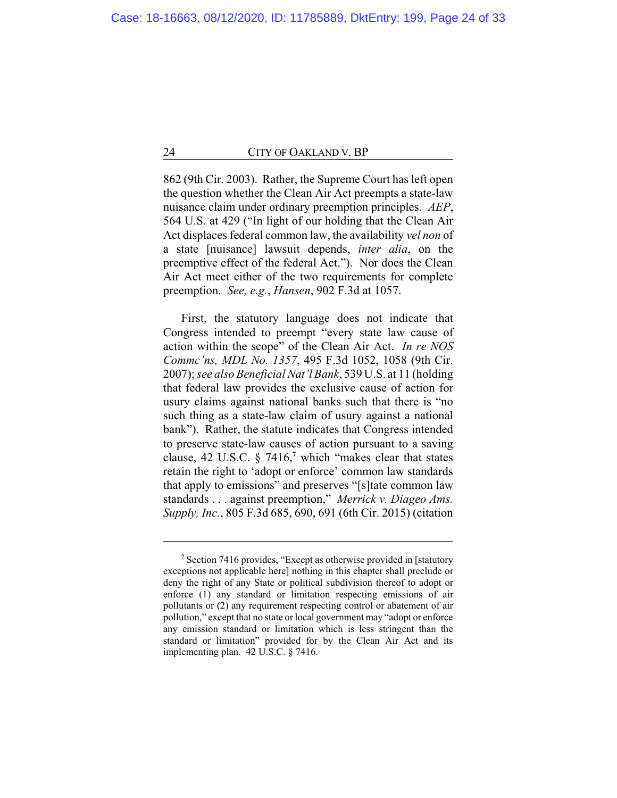862 (9th Cir. 2003). Rather, the Supreme Court has left open the question whether the Clean Air Act preempts a state-law nuisance claim under ordinary preemption principles. *AEP*, 564 U.S. at 429 ("In light of our holding that the Clean Air Act displaces federal common law, the availability *vel non* of a state [nuisance] lawsuit depends, *inter alia*, on the preemptive effect of the federal Act."). Nor does the Clean Air Act meet either of the two requirements for complete preemption. *See, e.g.*, *Hansen*, 902 F.3d at 1057.

First, the statutory language does not indicate that Congress intended to preempt "every state law cause of action within the scope" of the Clean Air Act. *In re NOS Commc'ns, MDL No. 1357*, 495 F.3d 1052, 1058 (9th Cir. 2007); *see also Beneficial Nat'l Bank*, 539 U.S. at 11 (holding that federal law provides the exclusive cause of action for usury claims against national banks such that there is "no such thing as a state-law claim of usury against a national bank"). Rather, the statute indicates that Congress intended to preserve state-law causes of action pursuant to a saving clause, 42 U.S.C. § 7416,**<sup>7</sup>** which "makes clear that states retain the right to 'adopt or enforce' common law standards that apply to emissions" and preserves "[s]tate common law standards . . . against preemption," *Merrick v. Diageo Ams. Supply, Inc.*, 805 F.3d 685, 690, 691 (6th Cir. 2015) (citation

**<sup>7</sup>** Section 7416 provides, "Except as otherwise provided in [statutory exceptions not applicable here] nothing in this chapter shall preclude or deny the right of any State or political subdivision thereof to adopt or enforce (1) any standard or limitation respecting emissions of air pollutants or (2) any requirement respecting control or abatement of air pollution," except that no state or local government may "adopt or enforce any emission standard or limitation which is less stringent than the standard or limitation" provided for by the Clean Air Act and its implementing plan. 42 U.S.C. § 7416.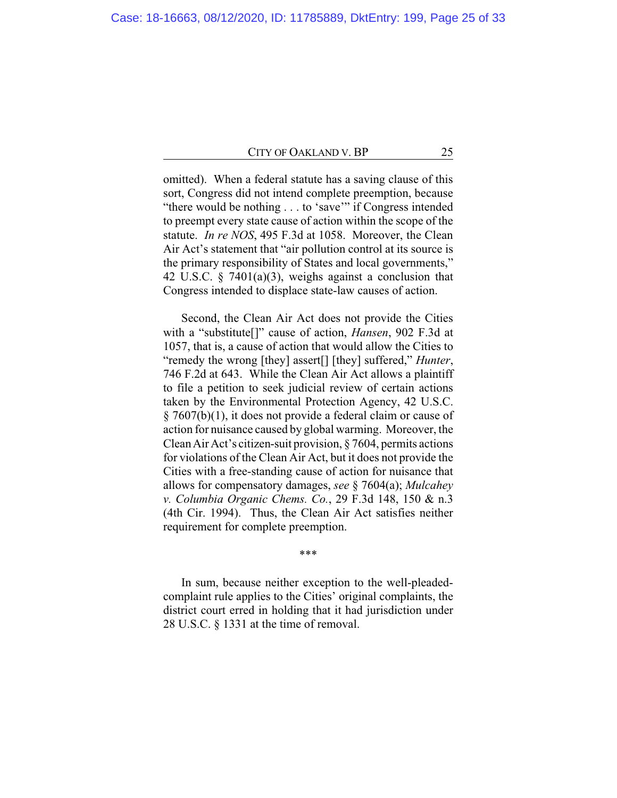omitted). When a federal statute has a saving clause of this sort, Congress did not intend complete preemption, because "there would be nothing . . . to 'save'" if Congress intended to preempt every state cause of action within the scope of the statute. *In re NOS*, 495 F.3d at 1058. Moreover, the Clean Air Act's statement that "air pollution control at its source is the primary responsibility of States and local governments," 42 U.S.C. § 7401(a)(3), weighs against a conclusion that Congress intended to displace state-law causes of action.

Second, the Clean Air Act does not provide the Cities with a "substitute[]" cause of action, *Hansen*, 902 F.3d at 1057, that is, a cause of action that would allow the Cities to "remedy the wrong [they] assert[] [they] suffered," *Hunter*, 746 F.2d at 643. While the Clean Air Act allows a plaintiff to file a petition to seek judicial review of certain actions taken by the Environmental Protection Agency, 42 U.S.C. § 7607(b)(1), it does not provide a federal claim or cause of action for nuisance caused by global warming. Moreover, the CleanAir Act's citizen-suit provision, § 7604, permits actions for violations of the Clean Air Act, but it does not provide the Cities with a free-standing cause of action for nuisance that allows for compensatory damages, *see* § 7604(a); *Mulcahey v. Columbia Organic Chems. Co.*, 29 F.3d 148, 150 & n.3 (4th Cir. 1994). Thus, the Clean Air Act satisfies neither requirement for complete preemption.

\*\*\*

In sum, because neither exception to the well-pleadedcomplaint rule applies to the Cities' original complaints, the district court erred in holding that it had jurisdiction under 28 U.S.C. § 1331 at the time of removal.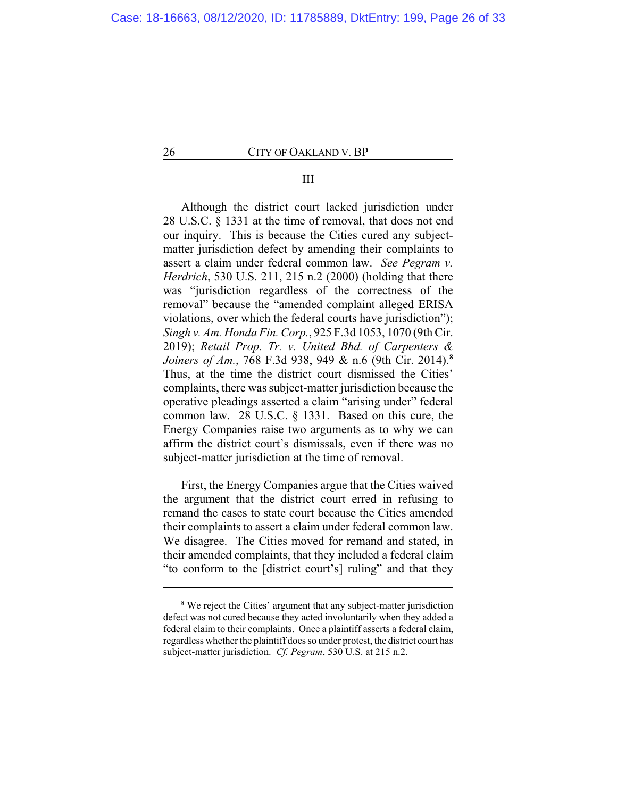# III

Although the district court lacked jurisdiction under 28 U.S.C. § 1331 at the time of removal, that does not end our inquiry. This is because the Cities cured any subjectmatter jurisdiction defect by amending their complaints to assert a claim under federal common law. *See Pegram v. Herdrich*, 530 U.S. 211, 215 n.2 (2000) (holding that there was "jurisdiction regardless of the correctness of the removal" because the "amended complaint alleged ERISA violations, over which the federal courts have jurisdiction"); *Singh v. Am. Honda Fin. Corp.*, 925 F.3d 1053, 1070 (9th Cir. 2019); *Retail Prop. Tr. v. United Bhd. of Carpenters & Joiners of Am.*, 768 F.3d 938, 949 & n.6 (9th Cir. 2014). **8** Thus, at the time the district court dismissed the Cities' complaints, there was subject-matter jurisdiction because the operative pleadings asserted a claim "arising under" federal common law. 28 U.S.C. § 1331. Based on this cure, the Energy Companies raise two arguments as to why we can affirm the district court's dismissals, even if there was no subject-matter jurisdiction at the time of removal.

First, the Energy Companies argue that the Cities waived the argument that the district court erred in refusing to remand the cases to state court because the Cities amended their complaints to assert a claim under federal common law. We disagree. The Cities moved for remand and stated, in their amended complaints, that they included a federal claim "to conform to the [district court's] ruling" and that they

**<sup>8</sup>** We reject the Cities' argument that any subject-matter jurisdiction defect was not cured because they acted involuntarily when they added a federal claim to their complaints. Once a plaintiff asserts a federal claim, regardless whether the plaintiff does so under protest, the district court has subject-matter jurisdiction. *Cf. Pegram*, 530 U.S. at 215 n.2.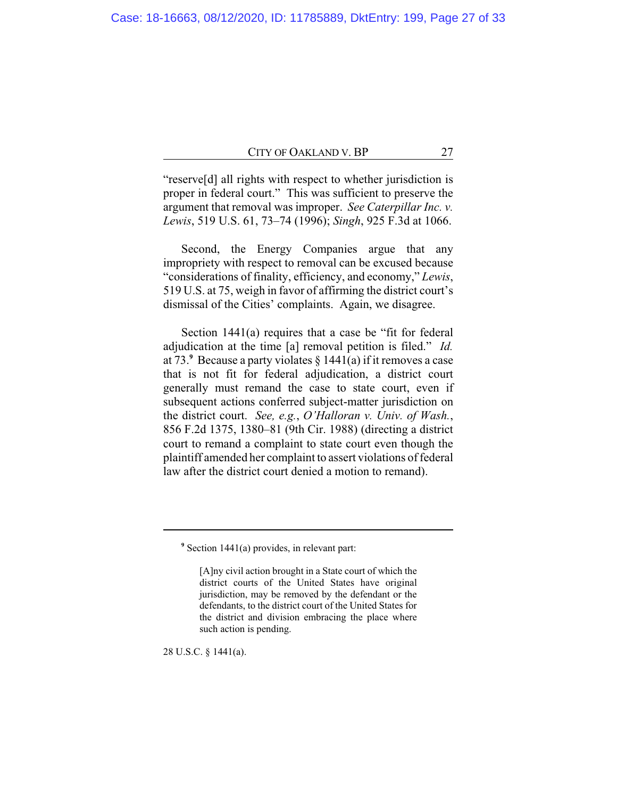"reserve[d] all rights with respect to whether jurisdiction is proper in federal court." This was sufficient to preserve the argument that removal was improper. *See Caterpillar Inc. v. Lewis*, 519 U.S. 61, 73–74 (1996); *Singh*, 925 F.3d at 1066.

Second, the Energy Companies argue that any impropriety with respect to removal can be excused because "considerations of finality, efficiency, and economy," *Lewis*, 519 U.S. at 75, weigh in favor of affirming the district court's dismissal of the Cities' complaints. Again, we disagree.

Section 1441(a) requires that a case be "fit for federal adjudication at the time [a] removal petition is filed." *Id.* at 73. $\degree$  Because a party violates  $\frac{8}{9}$  1441(a) if it removes a case that is not fit for federal adjudication, a district court generally must remand the case to state court, even if subsequent actions conferred subject-matter jurisdiction on the district court. *See, e.g.*, *O'Halloran v. Univ. of Wash.*, 856 F.2d 1375, 1380–81 (9th Cir. 1988) (directing a district court to remand a complaint to state court even though the plaintiff amended her complaint to assert violations of federal law after the district court denied a motion to remand).

28 U.S.C. § 1441(a).

**<sup>9</sup>** Section 1441(a) provides, in relevant part:

<sup>[</sup>A]ny civil action brought in a State court of which the district courts of the United States have original jurisdiction, may be removed by the defendant or the defendants, to the district court of the United States for the district and division embracing the place where such action is pending.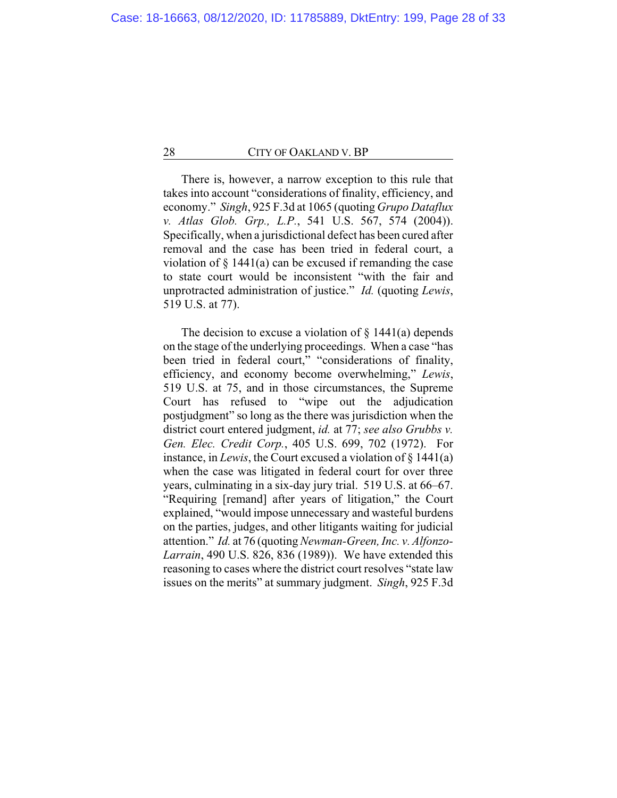There is, however, a narrow exception to this rule that takes into account "considerations of finality, efficiency, and economy." *Singh*, 925 F.3d at 1065 (quoting *Grupo Dataflux v. Atlas Glob. Grp., L.P.*, 541 U.S. 567, 574 (2004)). Specifically, when a jurisdictional defect has been cured after removal and the case has been tried in federal court, a violation of  $\S$  1441(a) can be excused if remanding the case to state court would be inconsistent "with the fair and unprotracted administration of justice." *Id.* (quoting *Lewis*, 519 U.S. at 77).

The decision to excuse a violation of  $\S$  1441(a) depends on the stage of the underlying proceedings. When a case "has been tried in federal court," "considerations of finality, efficiency, and economy become overwhelming," *Lewis*, 519 U.S. at 75, and in those circumstances, the Supreme Court has refused to "wipe out the adjudication postjudgment" so long as the there was jurisdiction when the district court entered judgment, *id.* at 77; *see also Grubbs v. Gen. Elec. Credit Corp.*, 405 U.S. 699, 702 (1972). For instance, in *Lewis*, the Court excused a violation of § 1441(a) when the case was litigated in federal court for over three years, culminating in a six-day jury trial. 519 U.S. at 66–67. "Requiring [remand] after years of litigation," the Court explained, "would impose unnecessary and wasteful burdens on the parties, judges, and other litigants waiting for judicial attention." *Id.* at 76 (quoting *Newman-Green, Inc. v. Alfonzo-Larrain*, 490 U.S. 826, 836 (1989)). We have extended this reasoning to cases where the district court resolves "state law issues on the merits" at summary judgment. *Singh*, 925 F.3d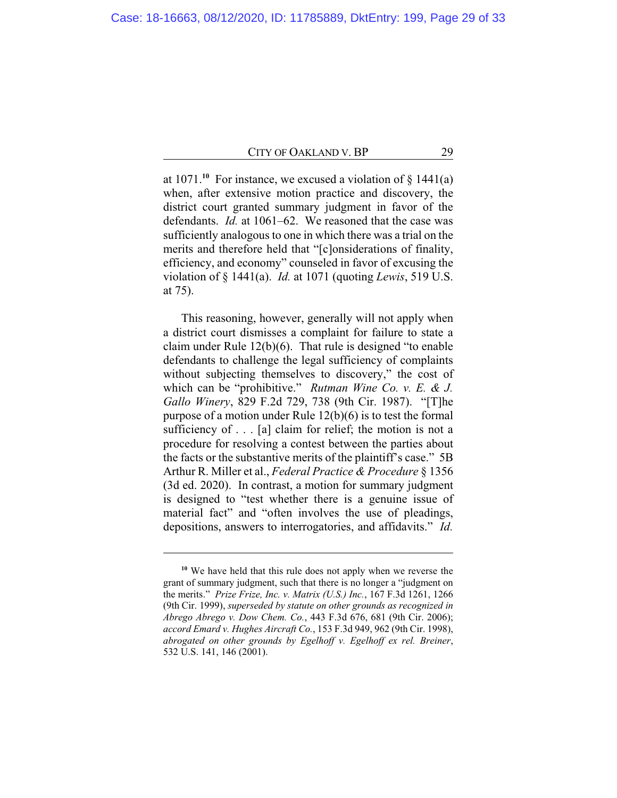at  $1071$ <sup>10</sup> For instance, we excused a violation of  $\S$  1441(a) when, after extensive motion practice and discovery, the district court granted summary judgment in favor of the defendants. *Id.* at 1061–62. We reasoned that the case was sufficiently analogous to one in which there was a trial on the merits and therefore held that "[c]onsiderations of finality, efficiency, and economy" counseled in favor of excusing the violation of § 1441(a). *Id.* at 1071 (quoting *Lewis*, 519 U.S. at 75).

This reasoning, however, generally will not apply when a district court dismisses a complaint for failure to state a claim under Rule 12(b)(6). That rule is designed "to enable defendants to challenge the legal sufficiency of complaints without subjecting themselves to discovery," the cost of which can be "prohibitive." *Rutman Wine Co. v. E. & J. Gallo Winery*, 829 F.2d 729, 738 (9th Cir. 1987). "[T]he purpose of a motion under Rule 12(b)(6) is to test the formal sufficiency of . . . [a] claim for relief; the motion is not a procedure for resolving a contest between the parties about the facts or the substantive merits of the plaintiff's case." 5B Arthur R. Miller et al., *Federal Practice & Procedure* § 1356 (3d ed. 2020). In contrast, a motion for summary judgment is designed to "test whether there is a genuine issue of material fact" and "often involves the use of pleadings, depositions, answers to interrogatories, and affidavits." *Id.*

**<sup>10</sup>** We have held that this rule does not apply when we reverse the grant of summary judgment, such that there is no longer a "judgment on the merits." *Prize Frize, Inc. v. Matrix (U.S.) Inc.*, 167 F.3d 1261, 1266 (9th Cir. 1999), *superseded by statute on other grounds as recognized in Abrego Abrego v. Dow Chem. Co.*, 443 F.3d 676, 681 (9th Cir. 2006); *accord Emard v. Hughes Aircraft Co.*, 153 F.3d 949, 962 (9th Cir. 1998), *abrogated on other grounds by Egelhoff v. Egelhoff ex rel. Breiner*, 532 U.S. 141, 146 (2001).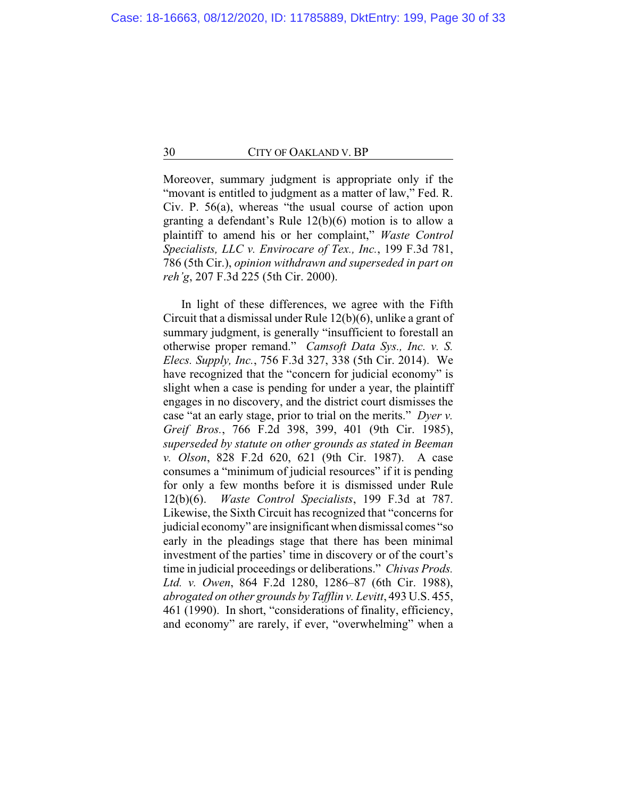Moreover, summary judgment is appropriate only if the "movant is entitled to judgment as a matter of law," Fed. R. Civ. P. 56(a), whereas "the usual course of action upon granting a defendant's Rule 12(b)(6) motion is to allow a plaintiff to amend his or her complaint," *Waste Control Specialists, LLC v. Envirocare of Tex., Inc.*, 199 F.3d 781, 786 (5th Cir.), *opinion withdrawn and superseded in part on reh'g*, 207 F.3d 225 (5th Cir. 2000).

In light of these differences, we agree with the Fifth Circuit that a dismissal under Rule 12(b)(6), unlike a grant of summary judgment, is generally "insufficient to forestall an otherwise proper remand." *Camsoft Data Sys., Inc. v. S. Elecs. Supply, Inc.*, 756 F.3d 327, 338 (5th Cir. 2014). We have recognized that the "concern for judicial economy" is slight when a case is pending for under a year, the plaintiff engages in no discovery, and the district court dismisses the case "at an early stage, prior to trial on the merits." *Dyer v. Greif Bros.*, 766 F.2d 398, 399, 401 (9th Cir. 1985), *superseded by statute on other grounds as stated in Beeman v. Olson*, 828 F.2d 620, 621 (9th Cir. 1987). A case consumes a "minimum of judicial resources" if it is pending for only a few months before it is dismissed under Rule 12(b)(6). *Waste Control Specialists*, 199 F.3d at 787. Likewise, the Sixth Circuit has recognized that "concerns for judicial economy" are insignificant when dismissal comes "so early in the pleadings stage that there has been minimal investment of the parties' time in discovery or of the court's time in judicial proceedings or deliberations." *Chivas Prods. Ltd. v. Owen*, 864 F.2d 1280, 1286–87 (6th Cir. 1988), *abrogated on other grounds by Tafflin v. Levitt*, 493 U.S. 455, 461 (1990). In short, "considerations of finality, efficiency, and economy" are rarely, if ever, "overwhelming" when a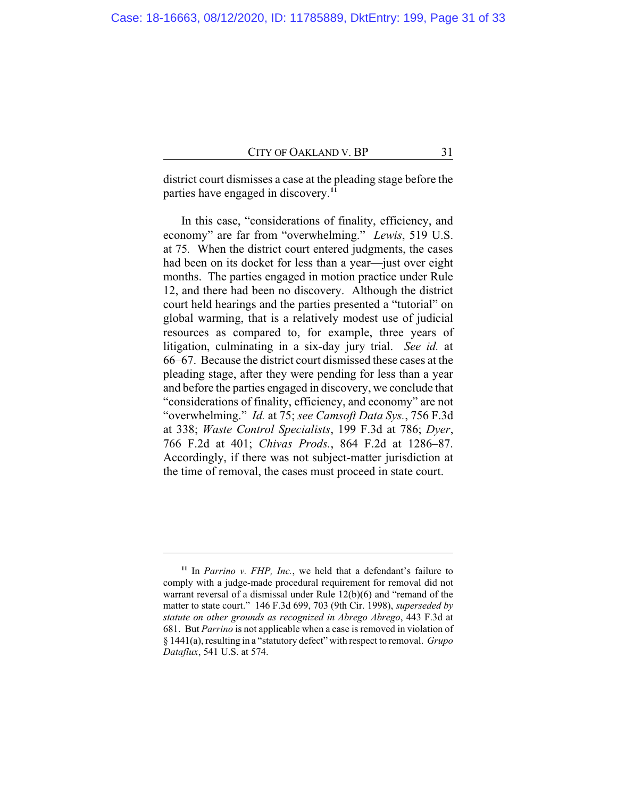district court dismisses a case at the pleading stage before the parties have engaged in discovery.**<sup>11</sup>**

In this case, "considerations of finality, efficiency, and economy" are far from "overwhelming." *Lewis*, 519 U.S. at 75*.* When the district court entered judgments, the cases had been on its docket for less than a year—just over eight months. The parties engaged in motion practice under Rule 12, and there had been no discovery. Although the district court held hearings and the parties presented a "tutorial" on global warming, that is a relatively modest use of judicial resources as compared to, for example, three years of litigation, culminating in a six-day jury trial. *See id.* at 66–67. Because the district court dismissed these cases at the pleading stage, after they were pending for less than a year and before the parties engaged in discovery, we conclude that "considerations of finality, efficiency, and economy" are not "overwhelming." *Id.* at 75; *see Camsoft Data Sys.*, 756 F.3d at 338; *Waste Control Specialists*, 199 F.3d at 786; *Dyer*, 766 F.2d at 401; *Chivas Prods.*, 864 F.2d at 1286–87. Accordingly, if there was not subject-matter jurisdiction at the time of removal, the cases must proceed in state court.

**<sup>11</sup>** In *Parrino v. FHP, Inc.*, we held that a defendant's failure to comply with a judge-made procedural requirement for removal did not warrant reversal of a dismissal under Rule 12(b)(6) and "remand of the matter to state court." 146 F.3d 699, 703 (9th Cir. 1998), *superseded by statute on other grounds as recognized in Abrego Abrego*, 443 F.3d at 681. But *Parrino* is not applicable when a case is removed in violation of § 1441(a), resulting in a "statutory defect" with respect to removal. *Grupo Dataflux*, 541 U.S. at 574.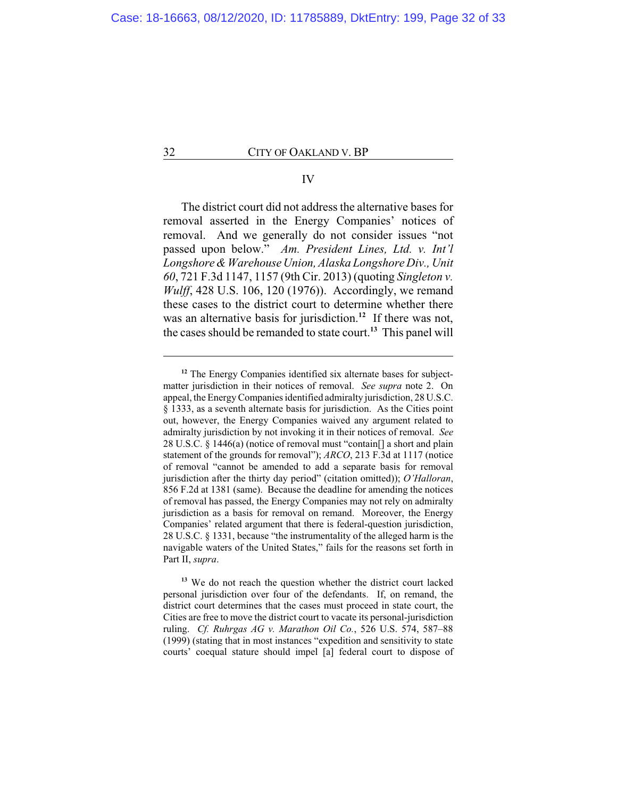## IV

The district court did not address the alternative bases for removal asserted in the Energy Companies' notices of removal. And we generally do not consider issues "not passed upon below." *Am. President Lines, Ltd. v. Int'l Longshore & Warehouse Union, Alaska Longshore Div., Unit 60*, 721 F.3d 1147, 1157 (9th Cir. 2013) (quoting *Singleton v. Wulff*, 428 U.S. 106, 120 (1976)). Accordingly, we remand these cases to the district court to determine whether there was an alternative basis for jurisdiction.**<sup>12</sup>** If there was not, the cases should be remanded to state court.**<sup>13</sup>** This panel will

<sup>&</sup>lt;sup>12</sup> The Energy Companies identified six alternate bases for subjectmatter jurisdiction in their notices of removal. *See supra* note 2. On appeal, the Energy Companies identified admiralty jurisdiction, 28 U.S.C. § 1333, as a seventh alternate basis for jurisdiction. As the Cities point out, however, the Energy Companies waived any argument related to admiralty jurisdiction by not invoking it in their notices of removal. *See* 28 U.S.C. § 1446(a) (notice of removal must "contain[] a short and plain statement of the grounds for removal"); *ARCO*, 213 F.3d at 1117 (notice of removal "cannot be amended to add a separate basis for removal jurisdiction after the thirty day period" (citation omitted)); *O'Halloran*, 856 F.2d at 1381 (same). Because the deadline for amending the notices of removal has passed, the Energy Companies may not rely on admiralty jurisdiction as a basis for removal on remand. Moreover, the Energy Companies' related argument that there is federal-question jurisdiction, 28 U.S.C. § 1331, because "the instrumentality of the alleged harm is the navigable waters of the United States," fails for the reasons set forth in Part II, *supra*.

**<sup>13</sup>** We do not reach the question whether the district court lacked personal jurisdiction over four of the defendants. If, on remand, the district court determines that the cases must proceed in state court, the Cities are free to move the district court to vacate its personal-jurisdiction ruling. *Cf. Ruhrgas AG v. Marathon Oil Co.*, 526 U.S. 574, 587–88 (1999) (stating that in most instances "expedition and sensitivity to state courts' coequal stature should impel [a] federal court to dispose of